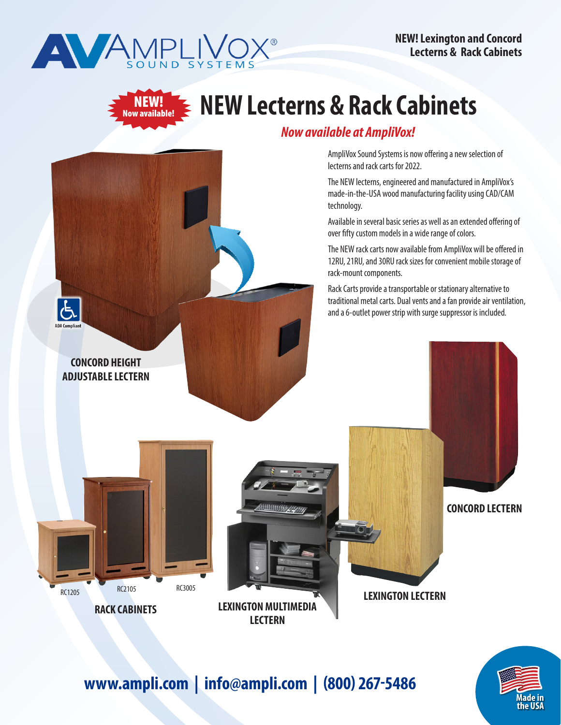

NEW! ndered.<br>Now available! **NEW! Lexington and Concord Lecterns & Rack Cabinets**

# **NEW Lecterns & Rack Cabinets**

## *Now available at AmpliVox!*

AmpliVox Sound Systems is now offering a new selection of lecterns and rack carts for 2022.

The NEW lecterns, engineered and manufactured in AmpliVox's made-in-the-USA wood manufacturing facility using CAD/CAM technology.

Available in several basic series as well as an extended offering of over fifty custom models in a wide range of colors.

The NEW rack carts now available from AmpliVox will be offered in 12RU, 21RU, and 30RU rack sizes for convenient mobile storage of rack-mount components.

Rack Carts provide a transportable or stationary alternative to traditional metal carts. Dual vents and a fan provide air ventilation,



**1/25 the USA Made in** 

# **www.ampli.com | info@ampli.com | (800) 267-5486**